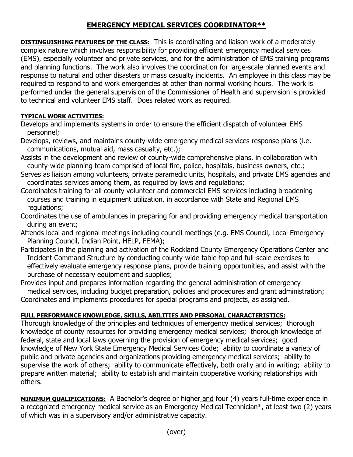## **EMERGENCY MEDICAL SERVICES COORDINATOR\*\***

**DISTINGUISHING FEATURES OF THE CLASS:** This is coordinating and liaison work of a moderately complex nature which involves responsibility for providing efficient emergency medical services (EMS), especially volunteer and private services, and for the administration of EMS training programs and planning functions. The work also involves the coordination for large-scale planned events and response to natural and other disasters or mass casualty incidents. An employee in this class may be required to respond to and work emergencies at other than normal working hours. The work is performed under the general supervision of the Commissioner of Health and supervision is provided to technical and volunteer EMS staff. Does related work as required.

## **TYPICAL WORK ACTIVITIES:**

Develops and implements systems in order to ensure the efficient dispatch of volunteer EMS personnel;

- Develops, reviews, and maintains county-wide emergency medical services response plans (i.e. communications, mutual aid, mass casualty, etc.);
- Assists in the development and review of county-wide comprehensive plans, in collaboration with county-wide planning team comprised of local fire, police, hospitals, business owners, etc.;
- Serves as liaison among volunteers, private paramedic units, hospitals, and private EMS agencies and coordinates services among them, as required by laws and regulations;
- Coordinates training for all county volunteer and commercial EMS services including broadening courses and training in equipment utilization, in accordance with State and Regional EMS regulations;
- Coordinates the use of ambulances in preparing for and providing emergency medical transportation during an event;
- Attends local and regional meetings including council meetings (e.g. EMS Council, Local Emergency Planning Council, Indian Point, HELP, FEMA);
- Participates in the planning and activation of the Rockland County Emergency Operations Center and Incident Command Structure by conducting county-wide table-top and full-scale exercises to effectively evaluate emergency response plans, provide training opportunities, and assist with the purchase of necessary equipment and supplies;
- Provides input and prepares information regarding the general administration of emergency medical services, including budget preparation, policies and procedures and grant administration; Coordinates and implements procedures for special programs and projects, as assigned.

## **FULL PERFORMANCE KNOWLEDGE, SKILLS, ABILITIES AND PERSONAL CHARACTERISTICS:**

Thorough knowledge of the principles and techniques of emergency medical services; thorough knowledge of county resources for providing emergency medical services; thorough knowledge of federal, state and local laws governing the provision of emergency medical services; good knowledge of New York State Emergency Medical Services Code; ability to coordinate a variety of public and private agencies and organizations providing emergency medical services; ability to supervise the work of others; ability to communicate effectively, both orally and in writing; ability to prepare written material; ability to establish and maintain cooperative working relationships with others.

**MINIMUM QUALIFICATIONS:** A Bachelor's degree or higher and four (4) years full-time experience in a recognized emergency medical service as an Emergency Medical Technician\*, at least two (2) years of which was in a supervisory and/or administrative capacity.